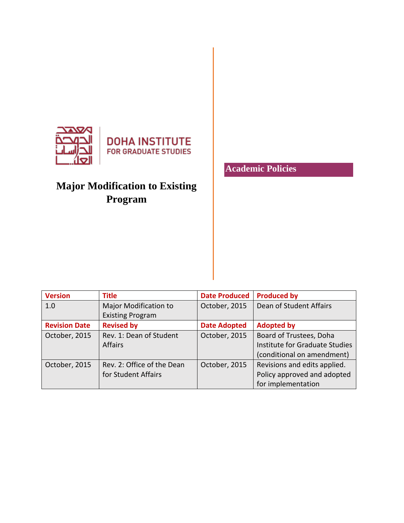

# **Major Modification to Existing Program**

**Academic Policies**

| <b>Version</b>       | <b>Title</b>               | <b>Date Produced</b> | <b>Produced by</b>             |
|----------------------|----------------------------|----------------------|--------------------------------|
| 1.0                  | Major Modification to      | October, 2015        | Dean of Student Affairs        |
|                      | <b>Existing Program</b>    |                      |                                |
| <b>Revision Date</b> | <b>Revised by</b>          | <b>Date Adopted</b>  | <b>Adopted by</b>              |
| October, 2015        | Rev. 1: Dean of Student    | October, 2015        | Board of Trustees, Doha        |
|                      | <b>Affairs</b>             |                      | Institute for Graduate Studies |
|                      |                            |                      | (conditional on amendment)     |
| October, 2015        | Rev. 2: Office of the Dean | October, 2015        | Revisions and edits applied.   |
|                      | for Student Affairs        |                      | Policy approved and adopted    |
|                      |                            |                      | for implementation             |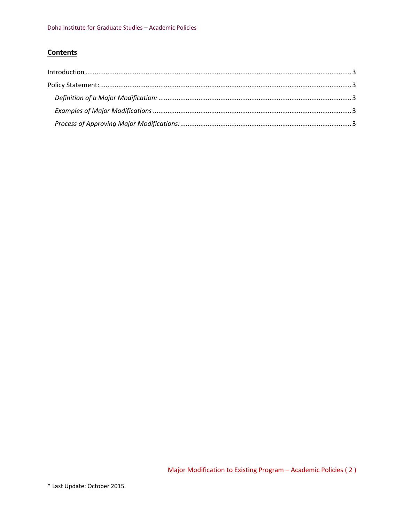## **Contents**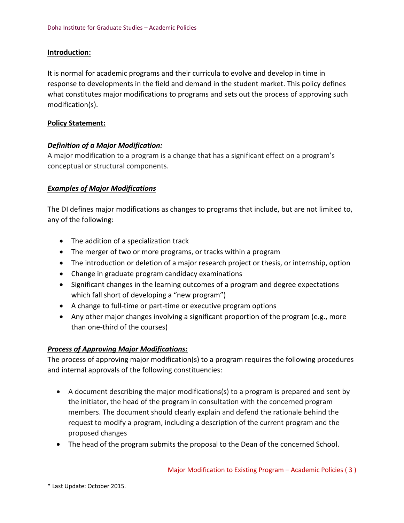#### <span id="page-2-0"></span>**Introduction:**

It is normal for academic programs and their curricula to evolve and develop in time in response to developments in the field and demand in the student market. This policy defines what constitutes major modifications to programs and sets out the process of approving such modification(s).

#### <span id="page-2-1"></span>**Policy Statement:**

#### <span id="page-2-2"></span>*Definition of a Major Modification:*

A major modification to a program is a change that has a significant effect on a program's conceptual or structural components.

#### <span id="page-2-3"></span>*Examples of Major Modifications*

The DI defines major modifications as changes to programs that include, but are not limited to, any of the following:

- The addition of a specialization track
- The merger of two or more programs, or tracks within a program
- The introduction or deletion of a major research project or thesis, or internship, option
- Change in graduate program candidacy examinations
- Significant changes in the learning outcomes of a program and degree expectations which fall short of developing a "new program")
- A change to full-time or part-time or executive program options
- Any other major changes involving a significant proportion of the program (e.g., more than one-third of the courses)

### <span id="page-2-4"></span>*Process of Approving Major Modifications:*

The process of approving major modification(s) to a program requires the following procedures and internal approvals of the following constituencies:

- A document describing the major modifications(s) to a program is prepared and sent by the initiator, the head of the program in consultation with the concerned program members. The document should clearly explain and defend the rationale behind the request to modify a program, including a description of the current program and the proposed changes
- The head of the program submits the proposal to the Dean of the concerned School.